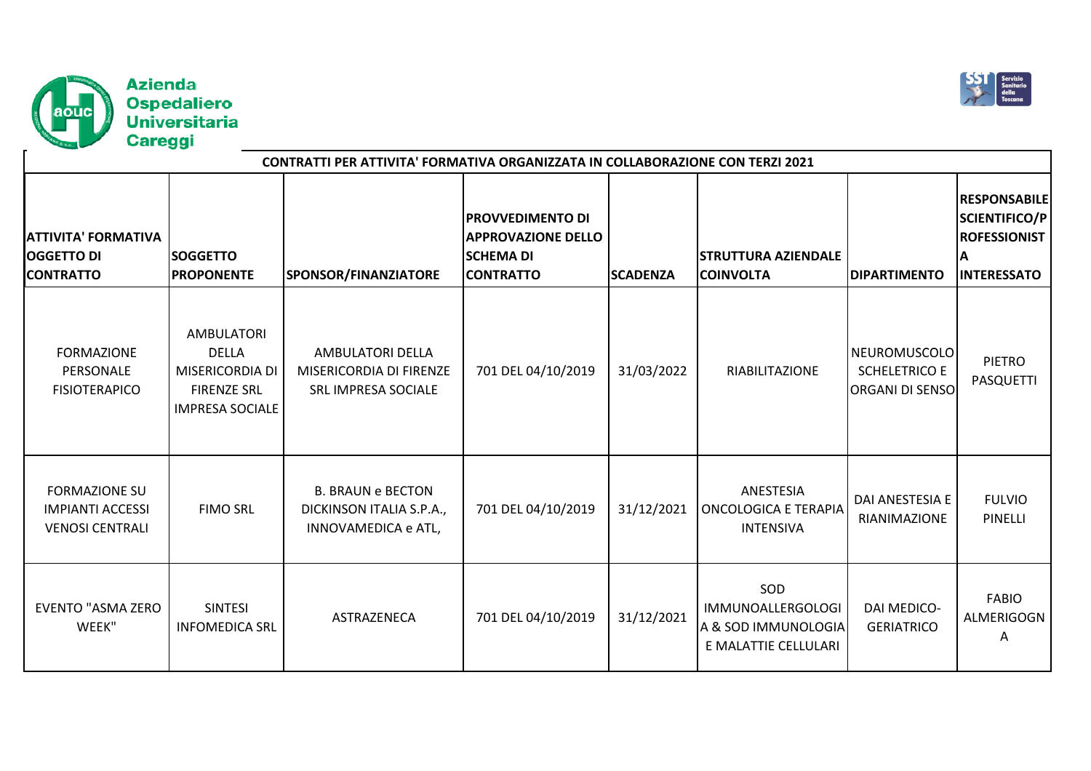



| CONTRATTI PER ATTIVITA' FORMATIVA ORGANIZZATA IN COLLABORAZIONE CON TERZI 2021 |                                                                                                             |                                                                             |                                                                                              |                 |                                                                                |                                                                |                                                                                                |  |  |
|--------------------------------------------------------------------------------|-------------------------------------------------------------------------------------------------------------|-----------------------------------------------------------------------------|----------------------------------------------------------------------------------------------|-----------------|--------------------------------------------------------------------------------|----------------------------------------------------------------|------------------------------------------------------------------------------------------------|--|--|
| <b>ATTIVITA' FORMATIVA</b><br><b>OGGETTO DI</b><br><b>CONTRATTO</b>            | <b>SOGGETTO</b><br><b>PROPONENTE</b>                                                                        | SPONSOR/FINANZIATORE                                                        | <b>PROVVEDIMENTO DI</b><br><b>APPROVAZIONE DELLO</b><br><b>SCHEMA DI</b><br><b>CONTRATTO</b> | <b>SCADENZA</b> | <b>STRUTTURA AZIENDALE</b><br><b>COINVOLTA</b>                                 | <b>DIPARTIMENTO</b>                                            | <b>RESPONSABILE</b><br><b>SCIENTIFICO/P</b><br><b>ROFESSIONIST</b><br>ΙA<br><b>INTERESSATO</b> |  |  |
| <b>FORMAZIONE</b><br>PERSONALE<br><b>FISIOTERAPICO</b>                         | <b>AMBULATORI</b><br><b>DELLA</b><br><b>MISERICORDIA DI</b><br><b>FIRENZE SRL</b><br><b>IMPRESA SOCIALE</b> | AMBULATORI DELLA<br>MISERICORDIA DI FIRENZE<br><b>SRL IMPRESA SOCIALE</b>   | 701 DEL 04/10/2019                                                                           | 31/03/2022      | RIABILITAZIONE                                                                 | NEUROMUSCOLO<br><b>SCHELETRICO E</b><br><b>ORGANI DI SENSO</b> | <b>PIETRO</b><br><b>PASQUETTI</b>                                                              |  |  |
| <b>FORMAZIONE SU</b><br><b>IMPIANTI ACCESSI</b><br><b>VENOSI CENTRALI</b>      | <b>FIMO SRL</b>                                                                                             | <b>B. BRAUN e BECTON</b><br>DICKINSON ITALIA S.P.A.,<br>INNOVAMEDICA e ATL, | 701 DEL 04/10/2019                                                                           | 31/12/2021      | ANESTESIA<br><b>ONCOLOGICA E TERAPIA</b><br><b>INTENSIVA</b>                   | DAI ANESTESIA E<br>RIANIMAZIONE                                | <b>FULVIO</b><br><b>PINELLI</b>                                                                |  |  |
| <b>EVENTO "ASMA ZERO</b><br>WEEK"                                              | <b>SINTESI</b><br><b>INFOMEDICA SRL</b>                                                                     | ASTRAZENECA                                                                 | 701 DEL 04/10/2019                                                                           | 31/12/2021      | SOD<br><b>IMMUNOALLERGOLOGI</b><br>A & SOD IMMUNOLOGIA<br>E MALATTIE CELLULARI | <b>DAI MEDICO-</b><br><b>GERIATRICO</b>                        | <b>FABIO</b><br>ALMERIGOGN<br>Α                                                                |  |  |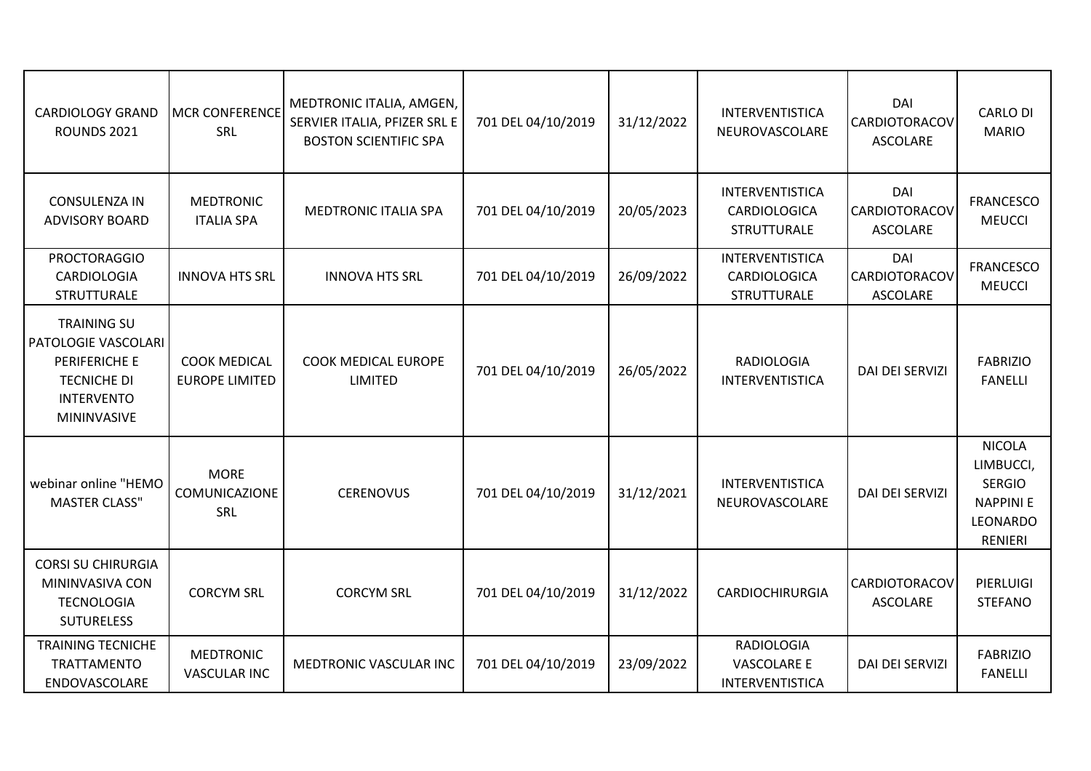| <b>CARDIOLOGY GRAND</b><br>ROUNDS 2021                                                                                             | <b>MCR CONFERENCE</b><br>SRL                 | MEDTRONIC ITALIA, AMGEN,<br>SERVIER ITALIA, PFIZER SRL E<br><b>BOSTON SCIENTIFIC SPA</b> | 701 DEL 04/10/2019 | 31/12/2022 | INTERVENTISTICA<br>NEUROVASCOLARE                            | DAI<br><b>CARDIOTORACOV</b><br><b>ASCOLARE</b> | <b>CARLO DI</b><br><b>MARIO</b>                                                                     |
|------------------------------------------------------------------------------------------------------------------------------------|----------------------------------------------|------------------------------------------------------------------------------------------|--------------------|------------|--------------------------------------------------------------|------------------------------------------------|-----------------------------------------------------------------------------------------------------|
| <b>CONSULENZA IN</b><br><b>ADVISORY BOARD</b>                                                                                      | <b>MEDTRONIC</b><br><b>ITALIA SPA</b>        | <b>MEDTRONIC ITALIA SPA</b>                                                              | 701 DEL 04/10/2019 | 20/05/2023 | <b>INTERVENTISTICA</b><br>CARDIOLOGICA<br>STRUTTURALE        | DAI<br><b>CARDIOTORACOV</b><br><b>ASCOLARE</b> | <b>FRANCESCO</b><br><b>MEUCCI</b>                                                                   |
| <b>PROCTORAGGIO</b><br><b>CARDIOLOGIA</b><br>STRUTTURALE                                                                           | <b>INNOVA HTS SRL</b>                        | <b>INNOVA HTS SRL</b>                                                                    | 701 DEL 04/10/2019 | 26/09/2022 | <b>INTERVENTISTICA</b><br>CARDIOLOGICA<br><b>STRUTTURALE</b> | DAI<br>CARDIOTORACOV<br>ASCOLARE               | <b>FRANCESCO</b><br><b>MEUCCI</b>                                                                   |
| <b>TRAINING SU</b><br><b>PATOLOGIE VASCOLARI</b><br>PERIFERICHE E<br><b>TECNICHE DI</b><br><b>INTERVENTO</b><br><b>MININVASIVE</b> | <b>COOK MEDICAL</b><br><b>EUROPE LIMITED</b> | <b>COOK MEDICAL EUROPE</b><br><b>LIMITED</b>                                             | 701 DEL 04/10/2019 | 26/05/2022 | <b>RADIOLOGIA</b><br>INTERVENTISTICA                         | <b>DAI DEI SERVIZI</b>                         | <b>FABRIZIO</b><br><b>FANELLI</b>                                                                   |
| webinar online "HEMO<br><b>MASTER CLASS"</b>                                                                                       | <b>MORE</b><br>COMUNICAZIONE<br>SRL          | <b>CERENOVUS</b>                                                                         | 701 DEL 04/10/2019 | 31/12/2021 | INTERVENTISTICA<br>NEUROVASCOLARE                            | <b>DAI DEI SERVIZI</b>                         | <b>NICOLA</b><br>LIMBUCCI,<br><b>SERGIO</b><br><b>NAPPINIE</b><br><b>LEONARDO</b><br><b>RENIERI</b> |
| <b>CORSI SU CHIRURGIA</b><br>MININVASIVA CON<br><b>TECNOLOGIA</b><br><b>SUTURELESS</b>                                             | <b>CORCYM SRL</b>                            | <b>CORCYM SRL</b>                                                                        | 701 DEL 04/10/2019 | 31/12/2022 | <b>CARDIOCHIRURGIA</b>                                       | <b>CARDIOTORACOV</b><br>ASCOLARE               | PIERLUIGI<br><b>STEFANO</b>                                                                         |
| <b>TRAINING TECNICHE</b><br>TRATTAMENTO<br>ENDOVASCOLARE                                                                           | <b>MEDTRONIC</b><br><b>VASCULAR INC</b>      | MEDTRONIC VASCULAR INC                                                                   | 701 DEL 04/10/2019 | 23/09/2022 | <b>RADIOLOGIA</b><br><b>VASCOLARE E</b><br>INTERVENTISTICA   | <b>DAI DEI SERVIZI</b>                         | <b>FABRIZIO</b><br><b>FANELLI</b>                                                                   |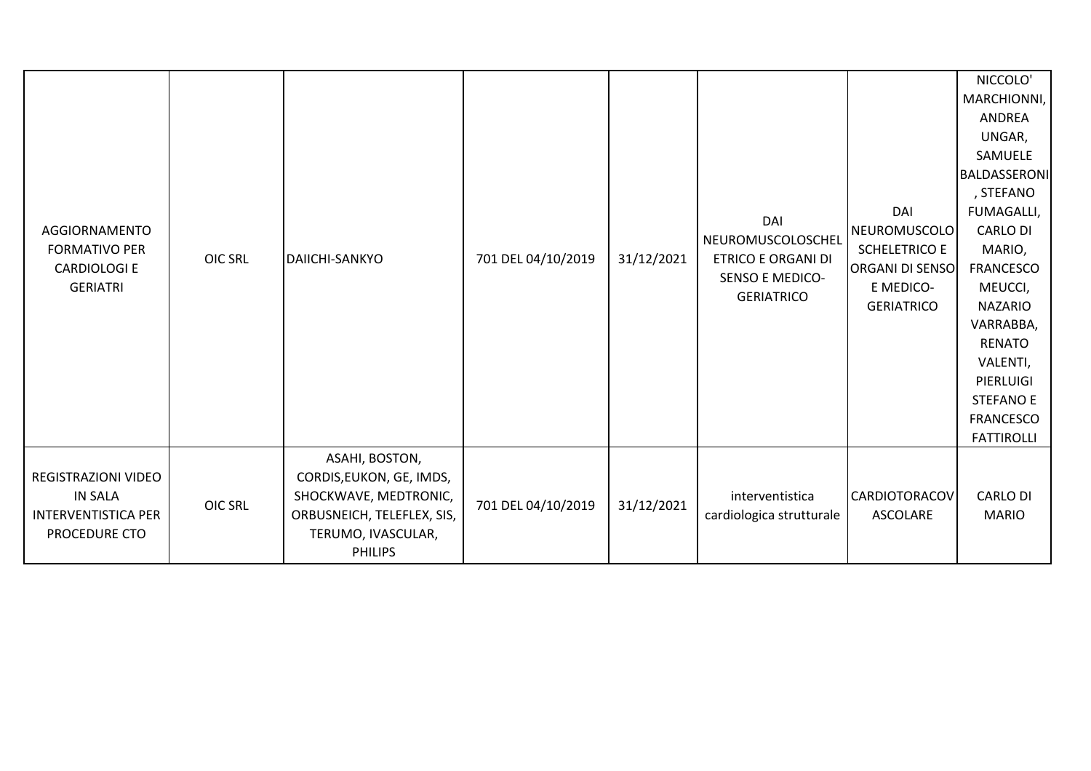| AGGIORNAMENTO<br><b>FORMATIVO PER</b><br><b>CARDIOLOGI E</b><br><b>GERIATRI</b>             | <b>OIC SRL</b> | DAIICHI-SANKYO                                                                                                                            | 701 DEL 04/10/2019 | 31/12/2021 | DAI<br>NEUROMUSCOLOSCHEL<br><b>ETRICO E ORGANI DI</b><br><b>SENSO E MEDICO-</b><br><b>GERIATRICO</b> | DAI<br>NEUROMUSCOLO<br><b>SCHELETRICO E</b><br><b>ORGANI DI SENSO</b><br>E MEDICO-<br><b>GERIATRICO</b> | NICCOLO'<br>MARCHIONNI,<br><b>ANDREA</b><br>UNGAR,<br>SAMUELE<br>BALDASSERONI<br>, STEFANO<br>FUMAGALLI,<br><b>CARLO DI</b><br>MARIO,<br><b>FRANCESCO</b><br>MEUCCI,<br><b>NAZARIO</b><br>VARRABBA,<br><b>RENATO</b><br>VALENTI,<br>PIERLUIGI<br><b>STEFANO E</b> |
|---------------------------------------------------------------------------------------------|----------------|-------------------------------------------------------------------------------------------------------------------------------------------|--------------------|------------|------------------------------------------------------------------------------------------------------|---------------------------------------------------------------------------------------------------------|-------------------------------------------------------------------------------------------------------------------------------------------------------------------------------------------------------------------------------------------------------------------|
|                                                                                             |                |                                                                                                                                           |                    |            |                                                                                                      |                                                                                                         | <b>FRANCESCO</b><br><b>FATTIROLLI</b>                                                                                                                                                                                                                             |
| <b>REGISTRAZIONI VIDEO</b><br><b>IN SALA</b><br><b>INTERVENTISTICA PER</b><br>PROCEDURE CTO | <b>OIC SRL</b> | ASAHI, BOSTON,<br>CORDIS, EUKON, GE, IMDS,<br>SHOCKWAVE, MEDTRONIC,<br>ORBUSNEICH, TELEFLEX, SIS,<br>TERUMO, IVASCULAR,<br><b>PHILIPS</b> | 701 DEL 04/10/2019 | 31/12/2021 | interventistica<br>cardiologica strutturale                                                          | <b>CARDIOTORACOV</b><br>ASCOLARE                                                                        | <b>CARLO DI</b><br><b>MARIO</b>                                                                                                                                                                                                                                   |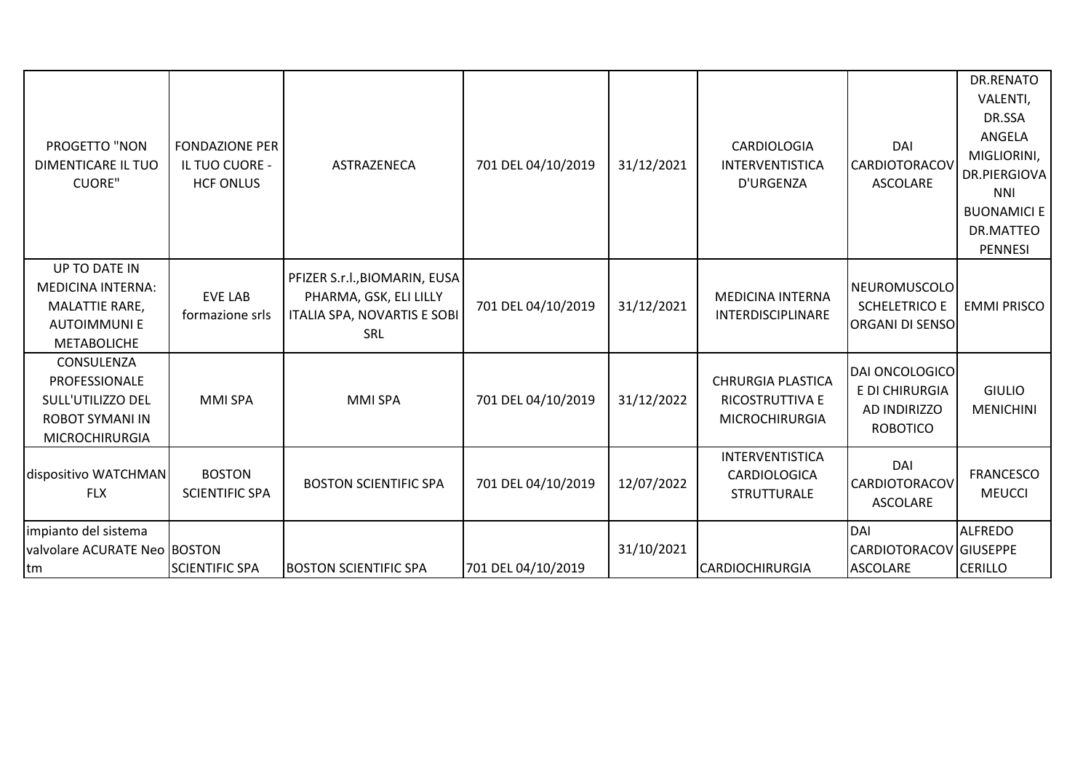| PROGETTO "NON<br><b>DIMENTICARE IL TUO</b><br><b>CUORE"</b>                                                    | <b>FONDAZIONE PER</b><br>IL TUO CUORE -<br><b>HCF ONLUS</b> | ASTRAZENECA                                                                                   | 701 DEL 04/10/2019 | 31/12/2021 | <b>CARDIOLOGIA</b><br><b>INTERVENTISTICA</b><br>D'URGENZA            | DAI<br><b>CARDIOTORACOV</b><br><b>ASCOLARE</b>                             | <b>DR.RENATO</b><br>VALENTI,<br>DR.SSA<br>ANGELA<br>MIGLIORINI,<br>DR.PIERGIOVA<br><b>NNI</b><br><b>BUONAMICI E</b><br>DR.MATTEO<br><b>PENNESI</b> |
|----------------------------------------------------------------------------------------------------------------|-------------------------------------------------------------|-----------------------------------------------------------------------------------------------|--------------------|------------|----------------------------------------------------------------------|----------------------------------------------------------------------------|----------------------------------------------------------------------------------------------------------------------------------------------------|
| UP TO DATE IN<br><b>MEDICINA INTERNA:</b><br><b>MALATTIE RARE,</b><br><b>AUTOIMMUNIE</b><br><b>METABOLICHE</b> | <b>EVE LAB</b><br>formazione srls                           | PFIZER S.r.l., BIOMARIN, EUSA<br>PHARMA, GSK, ELI LILLY<br>ITALIA SPA, NOVARTIS E SOBI<br>SRL | 701 DEL 04/10/2019 | 31/12/2021 | <b>MEDICINA INTERNA</b><br>INTERDISCIPLINARE                         | <b>NEUROMUSCOLO</b><br><b>SCHELETRICO E</b><br><b>ORGANI DI SENSO</b>      | <b>EMMI PRISCO</b>                                                                                                                                 |
| CONSULENZA<br>PROFESSIONALE<br>SULL'UTILIZZO DEL<br><b>ROBOT SYMANI IN</b><br><b>MICROCHIRURGIA</b>            | <b>MMI SPA</b>                                              | <b>MMI SPA</b>                                                                                | 701 DEL 04/10/2019 | 31/12/2022 | <b>CHRURGIA PLASTICA</b><br>RICOSTRUTTIVA E<br><b>MICROCHIRURGIA</b> | <b>DAI ONCOLOGICO</b><br>E DI CHIRURGIA<br>AD INDIRIZZO<br><b>ROBOTICO</b> | <b>GIULIO</b><br><b>MENICHINI</b>                                                                                                                  |
| dispositivo WATCHMAN<br><b>FLX</b>                                                                             | <b>BOSTON</b><br><b>SCIENTIFIC SPA</b>                      | <b>BOSTON SCIENTIFIC SPA</b>                                                                  | 701 DEL 04/10/2019 | 12/07/2022 | INTERVENTISTICA<br>CARDIOLOGICA<br><b>STRUTTURALE</b>                | DAI<br><b>CARDIOTORACOV</b><br><b>ASCOLARE</b>                             | <b>FRANCESCO</b><br><b>MEUCCI</b>                                                                                                                  |
| impianto del sistema<br>valvolare ACURATE Neo BOSTON<br>tm                                                     | <b>SCIENTIFIC SPA</b>                                       | <b>BOSTON SCIENTIFIC SPA</b>                                                                  | 701 DEL 04/10/2019 | 31/10/2021 | <b>CARDIOCHIRURGIA</b>                                               | DAI<br>CARDIOTORACOV GIUSEPPE<br><b>ASCOLARE</b>                           | <b>ALFREDO</b><br><b>CERILLO</b>                                                                                                                   |